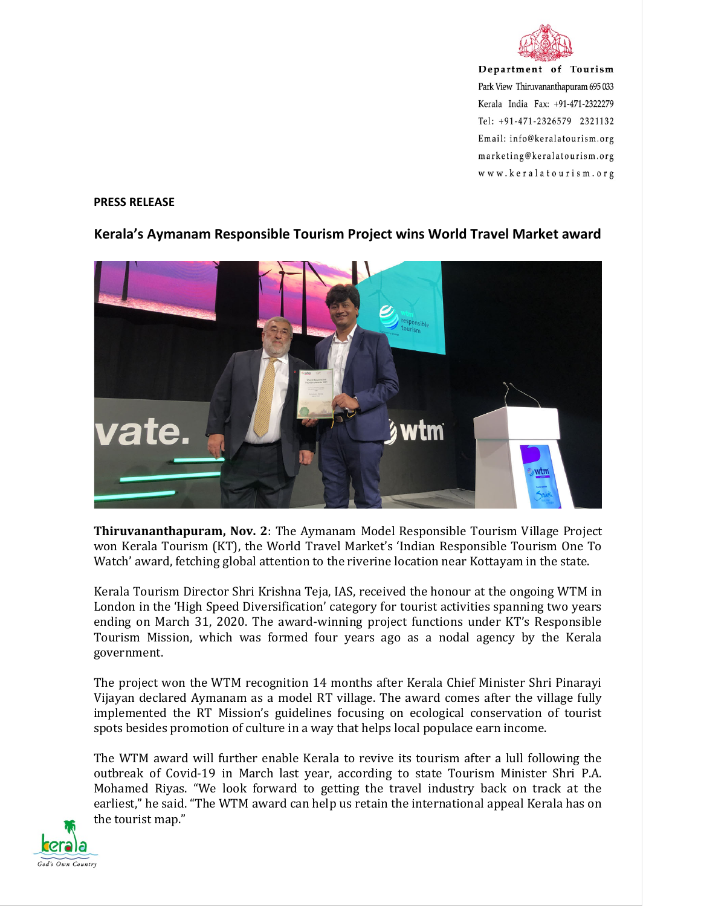

Department of Tourism Park View Thiruvananthapuram 695 033 Kerala India Fax: +91-471-2322279 Tel: +91-471-2326579 2321132 Email: info@keralatourism.org marketing@keralatourism.org www.keralatourism.org

## PRESS RELEASE



## Kerala's Aymanam Responsible Tourism Project wins World Travel Market award

Thiruvananthapuram, Nov. 2: The Aymanam Model Responsible Tourism Village Project won Kerala Tourism (KT), the World Travel Market's 'Indian Responsible Tourism One To Watch' award, fetching global attention to the riverine location near Kottayam in the state.

Kerala Tourism Director Shri Krishna Teja, IAS, received the honour at the ongoing WTM in London in the 'High Speed Diversification' category for tourist activities spanning two years ending on March 31, 2020. The award-winning project functions under KT's Responsible Tourism Mission, which was formed four years ago as a nodal agency by the Kerala government.

The project won the WTM recognition 14 months after Kerala Chief Minister Shri Pinarayi Vijayan declared Aymanam as a model RT village. The award comes after the village fully implemented the RT Mission's guidelines focusing on ecological conservation of tourist spots besides promotion of culture in a way that helps local populace earn income.

The WTM award will further enable Kerala to revive its tourism after a lull following the outbreak of Covid-19 in March last year, according to state Tourism Minister Shri P.A. Mohamed Riyas. "We look forward to getting the travel industry back on track at the earliest," he said. "The WTM award can help us retain the international appeal Kerala has on the tourist map."